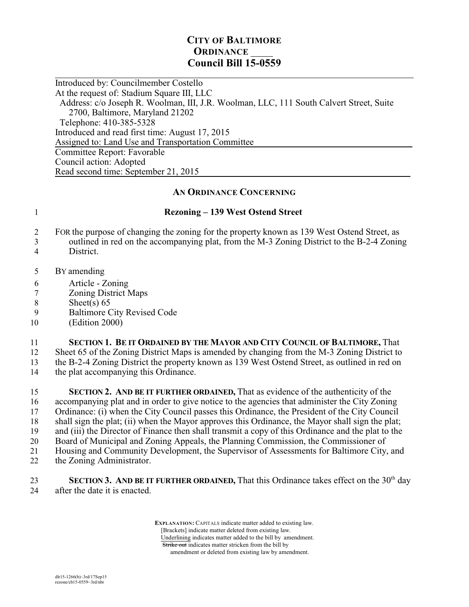## **CITY OF BALTIMORE ORDINANCE Council Bill 15-0559**

 $\overline{a}$ Introduced by: Councilmember Costello At the request of: Stadium Square III, LLC Address: c/o Joseph R. Woolman, III, J.R. Woolman, LLC, 111 South Calvert Street, Suite 2700, Baltimore, Maryland 21202 Telephone: 410-385-5328 Introduced and read first time: August 17, 2015 Assigned to: Land Use and Transportation Committee Committee Report: Favorable Council action: Adopted Read second time: September 21, 2015

## **AN ORDINANCE CONCERNING**

## 1 **Rezoning – 139 West Ostend Street**

- 2 FOR the purpose of changing the zoning for the property known as 139 West Ostend Street, as 3 outlined in red on the accompanying plat, from the M-3 Zoning District to the B-2-4 Zoning
- 4 District.
- 5 BY amending
- 6 Article Zoning
- 7 Zoning District Maps
- 8 Sheet(s)  $65$
- 9 Baltimore City Revised Code
- 10 (Edition 2000)
- 11 **SECTION 1. BE IT ORDAINED BY THE MAYOR AND CITY COUNCIL OF BALTIMORE,** That
- 12 Sheet 65 of the Zoning District Maps is amended by changing from the M-3 Zoning District to
- 13 the B-2-4 Zoning District the property known as 139 West Ostend Street, as outlined in red on
- 14 the plat accompanying this Ordinance.

 **SECTION 2. AND BE IT FURTHER ORDAINED,** That as evidence of the authenticity of the accompanying plat and in order to give notice to the agencies that administer the City Zoning Ordinance: (i) when the City Council passes this Ordinance, the President of the City Council shall sign the plat; (ii) when the Mayor approves this Ordinance, the Mayor shall sign the plat; and (iii) the Director of Finance then shall transmit a copy of this Ordinance and the plat to the 20 Board of Municipal and Zoning Appeals, the Planning Commission, the Commissioner of<br>21 Housing and Community Development, the Supervisor of Assessments for Baltimore City. Housing and Community Development, the Supervisor of Assessments for Baltimore City, and the Zoning Administrator.

**SECTION 3. AND BE IT FURTHER ORDAINED, That this Ordinance takes effect on the 30<sup>th</sup> day** 24 after the date it is enacted.

> **EXPLANATION:** CAPITALS indicate matter added to existing law. [Brackets] indicate matter deleted from existing law. Underlining indicates matter added to the bill by amendment. Strike out indicates matter stricken from the bill by

amendment or deleted from existing law by amendment.